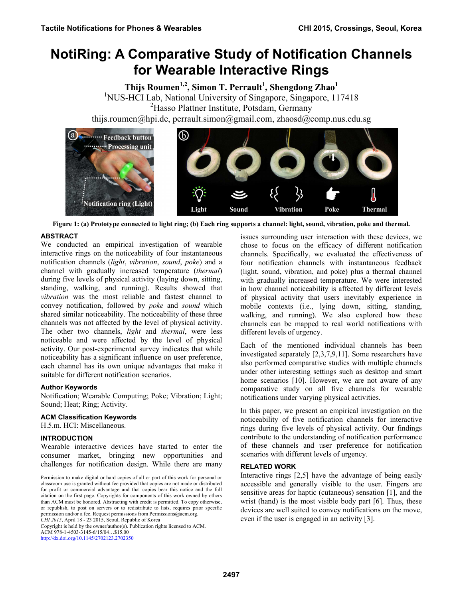# **NotiRing: A Comparative Study of Notification Channels for Wearable Interactive Rings**

**Thijs Roumen1,2, Simon T. Perrault1 , Shengdong Zhao<sup>1</sup>** <sup>1</sup>NUS-HCI Lab, National University of Singapore, Singapore, 117418 2 Hasso Plattner Institute, Potsdam, Germany thijs.roumen@hpi.de, perrault.simon@gmail.com, zhaosd@comp.nus.edu.sg





# **ABSTRACT**

We conducted an empirical investigation of wearable interactive rings on the noticeability of four instantaneous notification channels (*light*, *vibration*, *sound*, *poke*) and a channel with gradually increased temperature (*thermal*) during five levels of physical activity (laying down, sitting, standing, walking, and running). Results showed that *vibration* was the most reliable and fastest channel to convey notification, followed by *poke* and *sound* which shared similar noticeability. The noticeability of these three channels was not affected by the level of physical activity. The other two channels, *light* and *thermal*, were less noticeable and were affected by the level of physical activity. Our post-experimental survey indicates that while noticeability has a significant influence on user preference, each channel has its own unique advantages that make it suitable for different notification scenarios.

## **Author Keywords**

Notification; Wearable Computing; Poke; Vibration; Light; Sound; Heat; Ring; Activity.

## **ACM Classification Keywords**

H.5.m. HCI: Miscellaneous.

# **INTRODUCTION**

Wearable interactive devices have started to enter the consumer market, bringing new opportunities and challenges for notification design. While there are many

Copyright is held by the owner/author(s). Publication rights licensed to ACM. ACM 978-1-4503-3145-6/15/04…\$15.00 http://dx.doi.org/10.1145/2702123.2702350

issues surrounding user interaction with these devices, we chose to focus on the efficacy of different notification channels. Specifically, we evaluated the effectiveness of four notification channels with instantaneous feedback (light, sound, vibration, and poke) plus a thermal channel with gradually increased temperature. We were interested in how channel noticeability is affected by different levels of physical activity that users inevitably experience in mobile contexts (i.e., lying down, sitting, standing, walking, and running). We also explored how these channels can be mapped to real world notifications with different levels of urgency.

Each of the mentioned individual channels has been investigated separately [2,3,7,9,11]. Some researchers have also performed comparative studies with multiple channels under other interesting settings such as desktop and smart home scenarios [10]. However, we are not aware of any comparative study on all five channels for wearable notifications under varying physical activities.

In this paper, we present an empirical investigation on the noticeability of five notification channels for interactive rings during five levels of physical activity. Our findings contribute to the understanding of notification performance of these channels and user preference for notification scenarios with different levels of urgency.

## **RELATED WORK**

Interactive rings [2,5] have the advantage of being easily accessible and generally visible to the user. Fingers are sensitive areas for haptic (cutaneous) sensation [1], and the wrist (hand) is the most visible body part [6]. Thus, these devices are well suited to convey notifications on the move, even if the user is engaged in an activity [3].

Permission to make digital or hard copies of all or part of this work for personal or classroom use is granted without fee provided that copies are not made or distributed for profit or commercial advantage and that copies bear this notice and the full citation on the first page. Copyrights for components of this work owned by others than ACM must be honored. Abstracting with credit is permitted. To copy otherwise, or republish, to post on servers or to redistribute to lists, requires prior specific permission and/or a fee. Request permissions from Permissions@acm.org. *CHI 2015*, April 18 - 23 2015, Seoul, Republic of Korea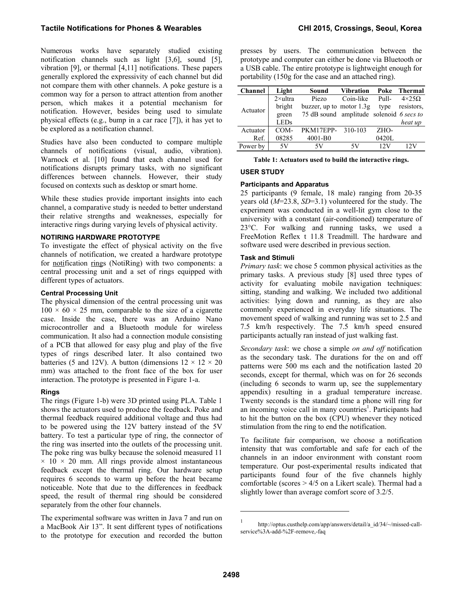Numerous works have separately studied existing notification channels such as light [3,6], sound [5], vibration [9], or thermal [4,11] notifications. These papers generally explored the expressivity of each channel but did not compare them with other channels. A poke gesture is a common way for a person to attract attention from another person, which makes it a potential mechanism for notification. However, besides being used to simulate physical effects (e.g., bump in a car race [7]), it has yet to be explored as a notification channel.

Studies have also been conducted to compare multiple channels of notifications (visual, audio, vibration). Warnock et al. [10] found that each channel used for notifications disrupts primary tasks, with no significant differences between channels. However, their study focused on contexts such as desktop or smart home.

While these studies provide important insights into each channel, a comparative study is needed to better understand their relative strengths and weaknesses, especially for interactive rings during varying levels of physical activity.

# **NOTIRING HARDWARE PROTOTYPE**

To investigate the effect of physical activity on the five channels of notification, we created a hardware prototype for notification rings (NotiRing) with two components: a central processing unit and a set of rings equipped with different types of actuators.

## **Central Processing Unit**

The physical dimension of the central processing unit was  $100 \times 60 \times 25$  mm, comparable to the size of a cigarette case. Inside the case, there was an Arduino Nano microcontroller and a Bluetooth module for wireless communication. It also had a connection module consisting of a PCB that allowed for easy plug and play of the five types of rings described later. It also contained two batteries (5 and 12V). A button (dimensions  $12 \times 12 \times 20$ mm) was attached to the front face of the box for user interaction. The prototype is presented in Figure 1-a.

# **Rings**

The rings (Figure 1-b) were 3D printed using PLA. Table 1 shows the actuators used to produce the feedback. Poke and thermal feedback required additional voltage and thus had to be powered using the 12V battery instead of the 5V battery. To test a particular type of ring, the connector of the ring was inserted into the outlets of the processing unit. The poke ring was bulky because the solenoid measured 11  $\times$  10  $\times$  20 mm. All rings provide almost instantaneous feedback except the thermal ring. Our hardware setup requires 6 seconds to warm up before the heat became noticeable. Note that due to the differences in feedback speed, the result of thermal ring should be considered separately from the other four channels.

The experimental software was written in Java 7 and run on a MacBook Air 13". It sent different types of notifications to the prototype for execution and recorded the button presses by users. The communication between the prototype and computer can either be done via Bluetooth or a USB cable. The entire prototype is lightweight enough for portability (150g for the case and an attached ring).

| <b>Channel</b> | Light            | Sound                                    | <b>Vibration</b> | Poke  | Thermal             |
|----------------|------------------|------------------------------------------|------------------|-------|---------------------|
| Actuator       | $2 \times$ ultra | Piezo                                    | Coin-like        | Pull- | $4 \times 25\Omega$ |
|                | bright           | buzzer, up to motor $1.3g$               |                  | type  | resistors.          |
|                | green            | 75 dB sound amplitude solenoid 6 secs to |                  |       |                     |
|                | <b>LEDs</b>      |                                          |                  |       | heat up             |
| Actuator       | COM-             | PKM17EPP-310-103                         |                  | ZHO-  |                     |
| Ref.           | 08285            | $4001-B0$                                |                  | 0420L |                     |
| Power by       | 5V               | 5V                                       | 5V               | 12V   | 12V                 |

#### **Table 1: Actuators used to build the interactive rings.**

## **USER STUDY**

## **Participants and Apparatus**

25 participants (9 female, 18 male) ranging from 20-35 years old (*M*=23.8, *SD*=3.1) volunteered for the study. The experiment was conducted in a well-lit gym close to the university with a constant (air-conditioned) temperature of 23°C. For walking and running tasks, we used a FreeMotion Reflex t 11.8 Treadmill. The hardware and software used were described in previous section.

## **Task and Stimuli**

*Primary task*: we chose 5 common physical activities as the primary tasks. A previous study [8] used three types of activity for evaluating mobile navigation techniques: sitting, standing and walking. We included two additional activities: lying down and running, as they are also commonly experienced in everyday life situations. The movement speed of walking and running was set to 2.5 and 7.5 km/h respectively. The 7.5 km/h speed ensured participants actually ran instead of just walking fast.

*Secondary task*: we chose a simple *on and off* notification as the secondary task. The durations for the on and off patterns were 500 ms each and the notification lasted 20 seconds, except for thermal, which was on for 26 seconds (including 6 seconds to warm up, see the supplementary appendix) resulting in a gradual temperature increase. Twenty seconds is the standard time a phone will ring for an incoming voice call in many countries<sup>1</sup>. Participants had to hit the button on the box (CPU) whenever they noticed stimulation from the ring to end the notification.

To facilitate fair comparison, we choose a notification intensity that was comfortable and safe for each of the channels in an indoor environment with constant room temperature. Our post-experimental results indicated that participants found four of the five channels highly comfortable (scores > 4/5 on a Likert scale). Thermal had a slightly lower than average comfort score of 3.2/5.

 $\overline{\phantom{a}}$ 

<sup>1</sup> http://optus.custhelp.com/app/answers/detail/a\_id/34/~/missed-callservice%3A-add-%2F-remove,-faq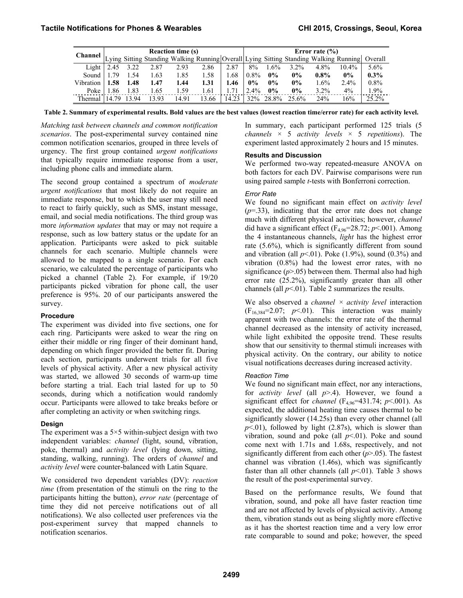| <b>Channel</b> | <b>Reaction time (s)</b> |       |                                                                                                 |       | Error rate $(\% )$ |       |         |         |          |         |          |         |
|----------------|--------------------------|-------|-------------------------------------------------------------------------------------------------|-------|--------------------|-------|---------|---------|----------|---------|----------|---------|
|                |                          |       | Lying Sitting Standing Walking Running Overall Lying Sitting Standing Walking Running   Overall |       |                    |       |         |         |          |         |          |         |
| Light          | 2.45                     | 3.22  | 2.87                                                                                            | 2.93  | 2.86               | 2.87  | 8%      | $1.6\%$ | $3.2\%$  | 4.8%    | $10.4\%$ | 5.6%    |
| Sound          | 1 79                     | 1.54  | 1.63                                                                                            | 1.85  | 1.58               | 1.68  | $0.8\%$ | $0\%$   | 0%       | $0.8\%$ | $0\%$    | $0.3\%$ |
| Vibration      | 1.58                     | 1.48  | 1.47                                                                                            | 1.44  | 1.31               | 1.46  | $0\%$   | $0\%$   | 0%       | 1.6%    | $2.4\%$  | $0.8\%$ |
| Poke           | .86                      | 1.83  | 1.65                                                                                            | 1.59  | 1.61               | 171   | $2.4\%$ | $0\%$   | $0\%$    | $3.2\%$ | 4%       | 1.9%    |
| Thermal        | 14.79                    | 13 94 | 13 93                                                                                           | 14.91 | 13.66              | 14.23 | 32%     | 28.8%   | $25.6\%$ | 24%     | 16%      | 25.2%   |

**Table 2. Summary of experimental results. Bold values are the best values (lowest reaction time/error rate) for each activity level.**

*Matching task between channels and common notification scenarios*. The post-experimental survey contained nine common notification scenarios, grouped in three levels of urgency. The first group contained *urgent notifications* that typically require immediate response from a user, including phone calls and immediate alarm.

The second group contained a spectrum of *moderate urgent notifications* that most likely do not require an immediate response, but to which the user may still need to react to fairly quickly, such as SMS, instant message, email, and social media notifications. The third group was more *information updates* that may or may not require a response, such as low battery status or the update for an application. Participants were asked to pick suitable channels for each scenario. Multiple channels were allowed to be mapped to a single scenario. For each scenario, we calculated the percentage of participants who picked a channel (Table 2). For example, if 19/20 participants picked vibration for phone call, the user preference is 95%. 20 of our participants answered the survey.

## **Procedure**

The experiment was divided into five sections, one for each ring. Participants were asked to wear the ring on either their middle or ring finger of their dominant hand, depending on which finger provided the better fit. During each section, participants underwent trials for all five levels of physical activity. After a new physical activity was started, we allowed 30 seconds of warm-up time before starting a trial. Each trial lasted for up to 50 seconds, during which a notification would randomly occur. Participants were allowed to take breaks before or after completing an activity or when switching rings.

## **Design**

The experiment was a  $5 \times 5$  within-subject design with two independent variables: *channel* (light, sound, vibration, poke, thermal) and *activity level* (lying down, sitting, standing, walking, running). The orders of *channel* and *activity level* were counter-balanced with Latin Square.

We considered two dependent variables (DV): *reaction time* (from presentation of the stimuli on the ring to the participants hitting the button), *error rate* (percentage of time they did not perceive notifications out of all notifications). We also collected user preferences via the post-experiment survey that mapped channels to notification scenarios.

In summary, each participant performed 125 trials (5 *channels* × 5 *activity levels* × 5 *repetitions*). The experiment lasted approximately 2 hours and 15 minutes.

## **Results and Discussion**

We performed two-way repeated-measure ANOVA on both factors for each DV. Pairwise comparisons were run using paired sample *t*-tests with Bonferroni correction.

## *Error Rate*

We found no significant main effect on *activity level*  $(p=0.33)$ , indicating that the error rate does not change much with different physical activities; however, *channel* did have a significant effect  $(F_{4.96}=28.72; p<.001)$ . Among the 4 instantaneous channels, *light* has the highest error rate (5.6%), which is significantly different from sound and vibration (all  $p<01$ ). Poke (1.9%), sound (0.3%) and vibration (0.8%) had the lowest error rates, with no significance  $(p>0.05)$  between them. Thermal also had high error rate (25.2%), significantly greater than all other channels (all  $p<01$ ). Table 2 summarizes the results.

We also observed a *channel × activity level* interaction  $(F_{16,384}=2.07; p<0.1)$ . This interaction was mainly apparent with two channels: the error rate of the thermal channel decreased as the intensity of activity increased, while light exhibited the opposite trend. These results show that our sensitivity to thermal stimuli increases with physical activity. On the contrary, our ability to notice visual notifications decreases during increased activity.

# *Reaction Time*

We found no significant main effect, nor any interactions, for *activity level* (all *p*>.4). However, we found a significant effect for *channel* ( $F_{4.96}$ =431.74; *p*<.001). As expected, the additional heating time causes thermal to be significantly slower (14.25s) than every other channel (all  $p<.01$ ), followed by light (2.87s), which is slower than vibration, sound and poke (all  $p<01$ ). Poke and sound come next with 1.71s and 1.68s, respectively, and not significantly different from each other (*p*>.05). The fastest channel was vibration (1.46s), which was significantly faster than all other channels (all  $p<01$ ). Table 3 shows the result of the post-experimental survey.

Based on the performance results, We found that vibration, sound, and poke all have faster reaction time and are not affected by levels of physical activity. Among them, vibration stands out as being slightly more effective as it has the shortest reaction time and a very low error rate comparable to sound and poke; however, the speed